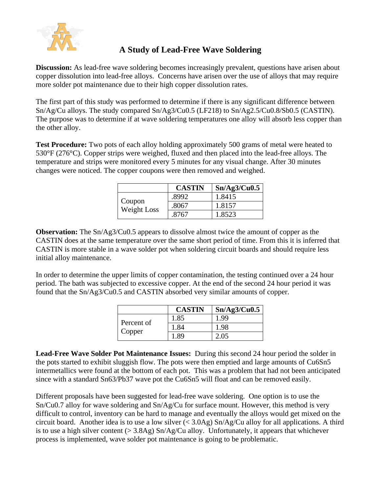

## **A Study of Lead-Free Wave Soldering**

**Discussion:** As lead-free wave soldering becomes increasingly prevalent, questions have arisen about copper dissolution into lead-free alloys. Concerns have arisen over the use of alloys that may require more solder pot maintenance due to their high copper dissolution rates.

The first part of this study was performed to determine if there is any significant difference between Sn/Ag/Cu alloys. The study compared Sn/Ag3/Cu0.5 (LF218) to Sn/Ag2.5/Cu0.8/Sb0.5 (CASTIN). The purpose was to determine if at wave soldering temperatures one alloy will absorb less copper than the other alloy.

**Test Procedure:** Two pots of each alloy holding approximately 500 grams of metal were heated to 530°F (276°C). Copper strips were weighed, fluxed and then placed into the lead-free alloys. The temperature and strips were monitored every 5 minutes for any visual change. After 30 minutes changes were noticed. The copper coupons were then removed and weighed.

|                       | <b>CASTIN</b> | Sn/Ag3/Cu0.5 |
|-----------------------|---------------|--------------|
| Coupon<br>Weight Loss | .8992         | 1.8415       |
|                       | .8067         | 1.8157       |
|                       | .8767         | 1.8523       |

**Observation:** The Sn/Ag3/Cu0.5 appears to dissolve almost twice the amount of copper as the CASTIN does at the same temperature over the same short period of time. From this it is inferred that CASTIN is more stable in a wave solder pot when soldering circuit boards and should require less initial alloy maintenance.

In order to determine the upper limits of copper contamination, the testing continued over a 24 hour period. The bath was subjected to excessive copper. At the end of the second 24 hour period it was found that the Sn/Ag3/Cu0.5 and CASTIN absorbed very similar amounts of copper.

|                      | <b>CASTIN</b> | Sn/Ag3/Cu0.5 |
|----------------------|---------------|--------------|
| Percent of<br>Copper | 1.85          | 1.99         |
|                      | 1.84          | 1.98         |
|                      | .89           | 2.05         |

**Lead-Free Wave Solder Pot Maintenance Issues:** During this second 24 hour period the solder in the pots started to exhibit sluggish flow. The pots were then emptied and large amounts of Cu6Sn5 intermetallics were found at the bottom of each pot. This was a problem that had not been anticipated since with a standard Sn63/Pb37 wave pot the Cu6Sn5 will float and can be removed easily.

Different proposals have been suggested for lead-free wave soldering. One option is to use the Sn/Cu0.7 alloy for wave soldering and Sn/Ag/Cu for surface mount. However, this method is very difficult to control, inventory can be hard to manage and eventually the alloys would get mixed on the circuit board. Another idea is to use a low silver  $( $3.0\text{Ag}$ ) Sn/Ag/Cu$  alloy for all applications. A third is to use a high silver content  $(> 3.8$ Ag) Sn/Ag/Cu alloy. Unfortunately, it appears that whichever process is implemented, wave solder pot maintenance is going to be problematic.